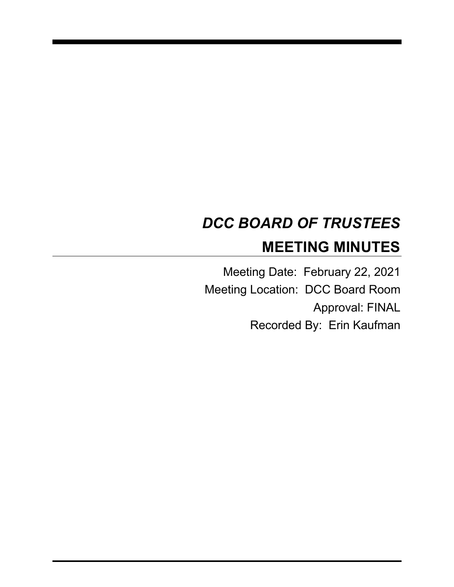# *DCC BOARD OF TRUSTEES* **MEETING MINUTES**

Meeting Date: February 22, 2021 Meeting Location: DCC Board Room Approval: FINAL Recorded By: Erin Kaufman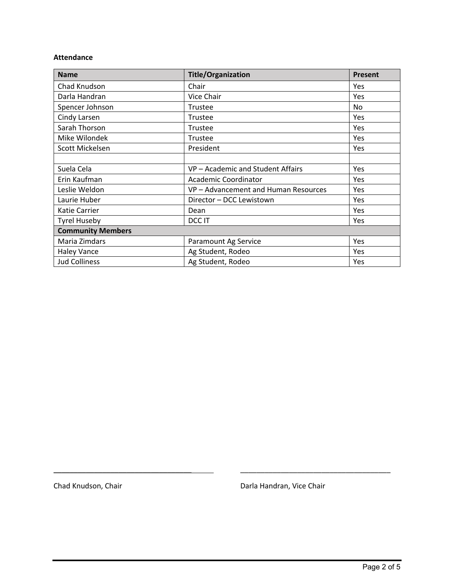#### **Attendance**

| <b>Name</b>              | <b>Title/Organization</b>          | Present |
|--------------------------|------------------------------------|---------|
| Chad Knudson             | Chair                              | Yes     |
| Darla Handran            | Vice Chair                         | Yes     |
| Spencer Johnson          | Trustee                            | No.     |
| Cindy Larsen             | Trustee                            | Yes     |
| Sarah Thorson            | Trustee                            | Yes     |
| Mike Wilondek            | Trustee                            | Yes     |
| Scott Mickelsen          | President                          | Yes     |
|                          |                                    |         |
| Suela Cela               | VP - Academic and Student Affairs  | Yes     |
| Erin Kaufman             | <b>Academic Coordinator</b>        | Yes     |
| Leslie Weldon            | VP-Advancement and Human Resources | Yes     |
| Laurie Huber             | Director - DCC Lewistown           | Yes     |
| Katie Carrier            | Dean                               | Yes     |
| <b>Tyrel Huseby</b>      | DCC IT                             | Yes     |
| <b>Community Members</b> |                                    |         |
| Maria Zimdars            | Paramount Ag Service               | Yes     |
| <b>Haley Vance</b>       | Ag Student, Rodeo                  | Yes     |
| <b>Jud Colliness</b>     | Ag Student, Rodeo                  | Yes     |

Chad Knudson, Chair **Darla Handran, Vice Chair** Darla Handran, Vice Chair

\_\_\_\_\_\_\_\_\_\_\_\_\_\_\_\_\_\_\_\_\_\_\_\_\_\_\_\_\_\_\_\_\_\_ \_\_\_\_\_\_\_\_\_\_\_\_\_\_\_\_\_\_\_\_\_\_\_\_\_\_\_\_\_\_\_\_\_\_\_\_\_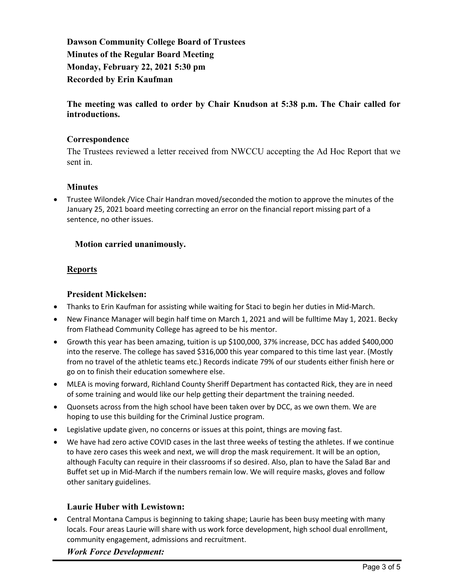**Dawson Community College Board of Trustees Minutes of the Regular Board Meeting Monday, February 22, 2021 5:30 pm Recorded by Erin Kaufman**

**The meeting was called to order by Chair Knudson at 5:38 p.m. The Chair called for introductions.**

#### **Correspondence**

The Trustees reviewed a letter received from NWCCU accepting the Ad Hoc Report that we sent in.

#### **Minutes**

• Trustee Wilondek /Vice Chair Handran moved/seconded the motion to approve the minutes of the January 25, 2021 board meeting correcting an error on the financial report missing part of a sentence, no other issues.

## **Motion carried unanimously.**

## **Reports**

#### **President Mickelsen:**

- Thanks to Erin Kaufman for assisting while waiting for Staci to begin her duties in Mid-March.
- New Finance Manager will begin half time on March 1, 2021 and will be fulltime May 1, 2021. Becky from Flathead Community College has agreed to be his mentor.
- Growth this year has been amazing, tuition is up \$100,000, 37% increase, DCC has added \$400,000 into the reserve. The college has saved \$316,000 this year compared to this time last year. (Mostly from no travel of the athletic teams etc.) Records indicate 79% of our students either finish here or go on to finish their education somewhere else.
- MLEA is moving forward, Richland County Sheriff Department has contacted Rick, they are in need of some training and would like our help getting their department the training needed.
- Quonsets across from the high school have been taken over by DCC, as we own them. We are hoping to use this building for the Criminal Justice program.
- Legislative update given, no concerns or issues at this point, things are moving fast.
- We have had zero active COVID cases in the last three weeks of testing the athletes. If we continue to have zero cases this week and next, we will drop the mask requirement. It will be an option, although Faculty can require in their classrooms if so desired. Also, plan to have the Salad Bar and Buffet set up in Mid-March if the numbers remain low. We will require masks, gloves and follow other sanitary guidelines.

#### **Laurie Huber with Lewistown:**

• Central Montana Campus is beginning to taking shape; Laurie has been busy meeting with many locals. Four areas Laurie will share with us work force development, high school dual enrollment, community engagement, admissions and recruitment.

*Work Force Development:*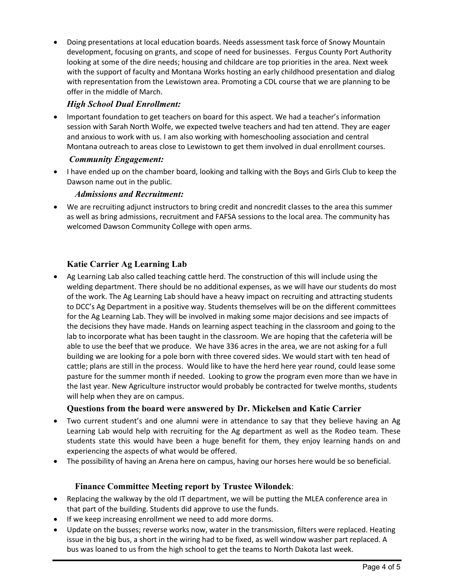• Doing presentations at local education boards. Needs assessment task force of Snowy Mountain development, focusing on grants, and scope of need for businesses. Fergus County Port Authority looking at some of the dire needs; housing and childcare are top priorities in the area. Next week with the support of faculty and Montana Works hosting an early childhood presentation and dialog with representation from the Lewistown area. Promoting a CDL course that we are planning to be offer in the middle of March.

# *High School Dual Enrollment:*

• Important foundation to get teachers on board for this aspect. We had a teacher's information session with Sarah North Wolfe, we expected twelve teachers and had ten attend. They are eager and anxious to work with us. I am also working with homeschooling association and central Montana outreach to areas close to Lewistown to get them involved in dual enrollment courses.

# *Community Engagement:*

• I have ended up on the chamber board, looking and talking with the Boys and Girls Club to keep the Dawson name out in the public.

#### *Admissions and Recruitment:*

• We are recruiting adjunct instructors to bring credit and noncredit classes to the area this summer as well as bring admissions, recruitment and FAFSA sessions to the local area. The community has welcomed Dawson Community College with open arms.

# **Katie Carrier Ag Learning Lab**

• Ag Learning Lab also called teaching cattle herd. The construction of this will include using the welding department. There should be no additional expenses, as we will have our students do most of the work. The Ag Learning Lab should have a heavy impact on recruiting and attracting students to DCC's Ag Department in a positive way. Students themselves will be on the different committees for the Ag Learning Lab. They will be involved in making some major decisions and see impacts of the decisions they have made. Hands on learning aspect teaching in the classroom and going to the lab to incorporate what has been taught in the classroom. We are hoping that the cafeteria will be able to use the beef that we produce. We have 336 acres in the area, we are not asking for a full building we are looking for a pole born with three covered sides. We would start with ten head of cattle; plans are still in the process. Would like to have the herd here year round, could lease some pasture for the summer month if needed. Looking to grow the program even more than we have in the last year. New Agriculture instructor would probably be contracted for twelve months, students will help when they are on campus.

# **Questions from the board were answered by Dr. Mickelsen and Katie Carrier**

- Two current student's and one alumni were in attendance to say that they believe having an Ag Learning Lab would help with recruiting for the Ag department as well as the Rodeo team. These students state this would have been a huge benefit for them, they enjoy learning hands on and experiencing the aspects of what would be offered.
- The possibility of having an Arena here on campus, having our horses here would be so beneficial.

# **Finance Committee Meeting report by Trustee Wilondek**:

- Replacing the walkway by the old IT department, we will be putting the MLEA conference area in that part of the building. Students did approve to use the funds.
- If we keep increasing enrollment we need to add more dorms.
- Update on the busses; reverse works now, water in the transmission, filters were replaced. Heating issue in the big bus, a short in the wiring had to be fixed, as well window washer part replaced. A bus was loaned to us from the high school to get the teams to North Dakota last week.